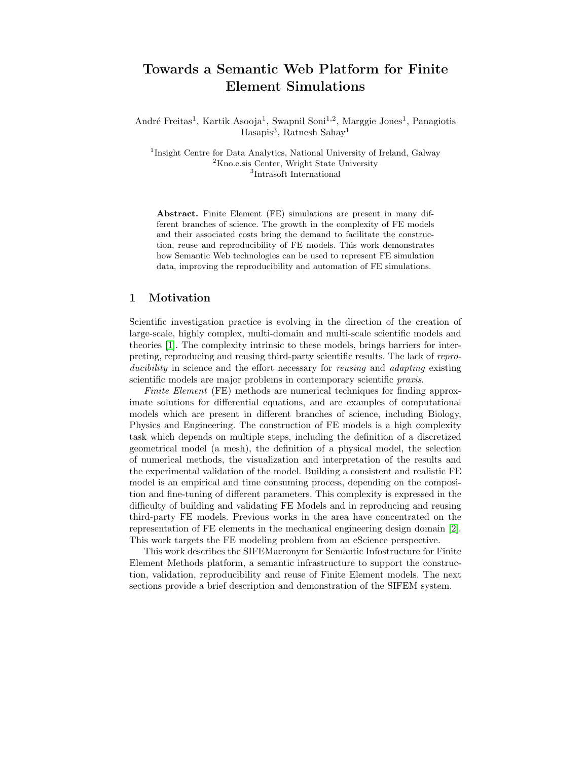# Towards a Semantic Web Platform for Finite Element Simulations

André Freitas<sup>1</sup>, Kartik Asooja<sup>1</sup>, Swapnil Soni<sup>1,2</sup>, Marggie Jones<sup>1</sup>, Panagiotis Hasapis<sup>3</sup>, Ratnesh Sahay<sup>1</sup>

<sup>1</sup>Insight Centre for Data Analytics, National University of Ireland, Galway <sup>2</sup>Kno.e.sis Center, Wright State University 3 Intrasoft International

Abstract. Finite Element (FE) simulations are present in many different branches of science. The growth in the complexity of FE models and their associated costs bring the demand to facilitate the construction, reuse and reproducibility of FE models. This work demonstrates how Semantic Web technologies can be used to represent FE simulation data, improving the reproducibility and automation of FE simulations.

### 1 Motivation

Scientific investigation practice is evolving in the direction of the creation of large-scale, highly complex, multi-domain and multi-scale scientific models and theories [\[1\]](#page-4-0). The complexity intrinsic to these models, brings barriers for interpreting, reproducing and reusing third-party scientific results. The lack of reproducibility in science and the effort necessary for *reusing* and *adapting* existing scientific models are major problems in contemporary scientific *praxis*.

Finite Element (FE) methods are numerical techniques for finding approximate solutions for differential equations, and are examples of computational models which are present in different branches of science, including Biology, Physics and Engineering. The construction of FE models is a high complexity task which depends on multiple steps, including the definition of a discretized geometrical model (a mesh), the definition of a physical model, the selection of numerical methods, the visualization and interpretation of the results and the experimental validation of the model. Building a consistent and realistic FE model is an empirical and time consuming process, depending on the composition and fine-tuning of different parameters. This complexity is expressed in the difficulty of building and validating FE Models and in reproducing and reusing third-party FE models. Previous works in the area have concentrated on the representation of FE elements in the mechanical engineering design domain [\[2\]](#page-4-1). This work targets the FE modeling problem from an eScience perspective.

This work describes the SIFEMacronym for Semantic Infostructure for Finite Element Methods platform, a semantic infrastructure to support the construction, validation, reproducibility and reuse of Finite Element models. The next sections provide a brief description and demonstration of the SIFEM system.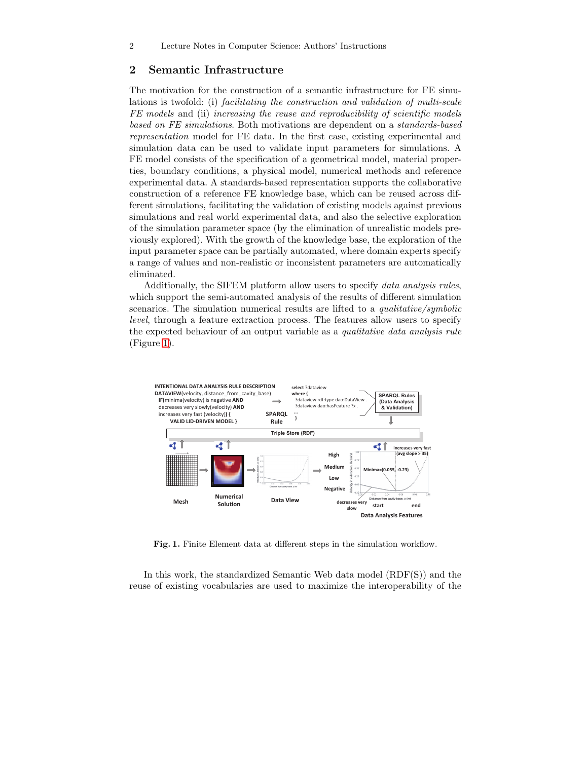## 2 Semantic Infrastructure

The motivation for the construction of a semantic infrastructure for FE simulations is twofold: (i) facilitating the construction and validation of multi-scale FE models and (ii) increasing the reuse and reproducibility of scientific models based on FE simulations. Both motivations are dependent on a standards-based representation model for FE data. In the first case, existing experimental and simulation data can be used to validate input parameters for simulations. A FE model consists of the specification of a geometrical model, material properties, boundary conditions, a physical model, numerical methods and reference experimental data. A standards-based representation supports the collaborative construction of a reference FE knowledge base, which can be reused across different simulations, facilitating the validation of existing models against previous simulations and real world experimental data, and also the selective exploration of the simulation parameter space (by the elimination of unrealistic models previously explored). With the growth of the knowledge base, the exploration of the input parameter space can be partially automated, where domain experts specify a range of values and non-realistic or inconsistent parameters are automatically eliminated.

Additionally, the SIFEM platform allow users to specify data analysis rules, which support the semi-automated analysis of the results of different simulation scenarios. The simulation numerical results are lifted to a *qualitative/symbolic* level, through a feature extraction process. The features allow users to specify the expected behaviour of an output variable as a qualitative data analysis rule (Figure [1\)](#page-1-0).



<span id="page-1-0"></span>Fig. 1. Finite Element data at different steps in the simulation workflow.

In this work, the standardized Semantic Web data model (RDF(S)) and the reuse of existing vocabularies are used to maximize the interoperability of the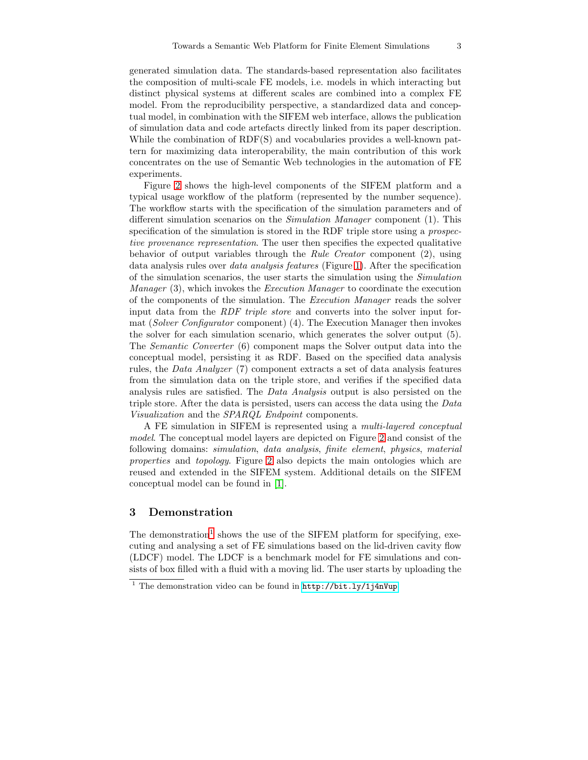generated simulation data. The standards-based representation also facilitates the composition of multi-scale FE models, i.e. models in which interacting but distinct physical systems at different scales are combined into a complex FE model. From the reproducibility perspective, a standardized data and conceptual model, in combination with the SIFEM web interface, allows the publication of simulation data and code artefacts directly linked from its paper description. While the combination of RDF(S) and vocabularies provides a well-known pattern for maximizing data interoperability, the main contribution of this work concentrates on the use of Semantic Web technologies in the automation of FE experiments.

Figure [2](#page-3-0) shows the high-level components of the SIFEM platform and a typical usage workflow of the platform (represented by the number sequence). The workflow starts with the specification of the simulation parameters and of different simulation scenarios on the *Simulation Manager* component (1). This specification of the simulation is stored in the RDF triple store using a prospective provenance representation. The user then specifies the expected qualitative behavior of output variables through the Rule Creator component (2), using data analysis rules over data analysis features (Figure [1\)](#page-1-0). After the specification of the simulation scenarios, the user starts the simulation using the Simulation Manager (3), which invokes the Execution Manager to coordinate the execution of the components of the simulation. The Execution Manager reads the solver input data from the RDF triple store and converts into the solver input format (Solver Configurator component) (4). The Execution Manager then invokes the solver for each simulation scenario, which generates the solver output (5). The Semantic Converter (6) component maps the Solver output data into the conceptual model, persisting it as RDF. Based on the specified data analysis rules, the Data Analyzer (7) component extracts a set of data analysis features from the simulation data on the triple store, and verifies if the specified data analysis rules are satisfied. The Data Analysis output is also persisted on the triple store. After the data is persisted, users can access the data using the Data Visualization and the SPARQL Endpoint components.

A FE simulation in SIFEM is represented using a multi-layered conceptual model. The conceptual model layers are depicted on Figure [2](#page-3-0) and consist of the following domains: simulation, data analysis, finite element, physics, material properties and topology. Figure [2](#page-3-0) also depicts the main ontologies which are reused and extended in the SIFEM system. Additional details on the SIFEM conceptual model can be found in [\[1\]](#page-4-0).

#### 3 Demonstration

The demonstration<sup>[1](#page-2-0)</sup> shows the use of the SIFEM platform for specifying, executing and analysing a set of FE simulations based on the lid-driven cavity flow (LDCF) model. The LDCF is a benchmark model for FE simulations and consists of box filled with a fluid with a moving lid. The user starts by uploading the

<span id="page-2-0"></span><sup>&</sup>lt;sup>1</sup> The demonstration video can be found in <http://bit.ly/1j4nVup>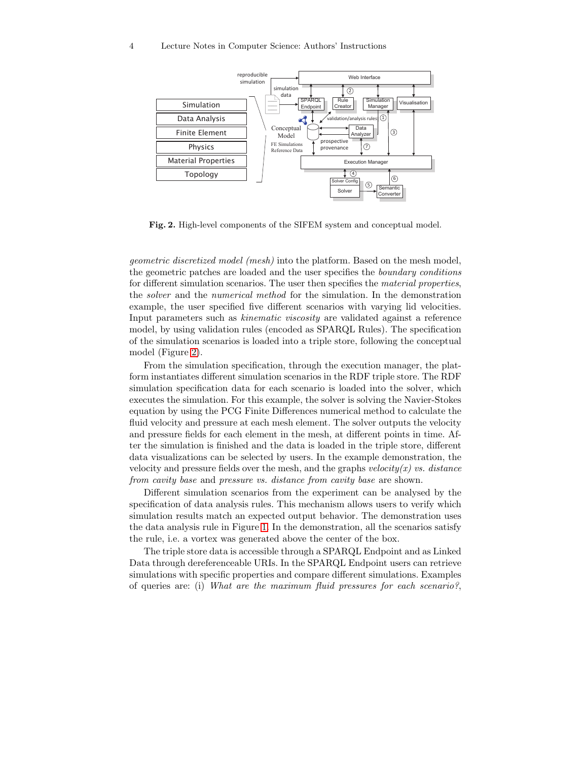

<span id="page-3-0"></span>Fig. 2. High-level components of the SIFEM system and conceptual model.

geometric discretized model (mesh) into the platform. Based on the mesh model, the geometric patches are loaded and the user specifies the boundary conditions for different simulation scenarios. The user then specifies the *material properties*, the solver and the numerical method for the simulation. In the demonstration example, the user specified five different scenarios with varying lid velocities. Input parameters such as kinematic viscosity are validated against a reference model, by using validation rules (encoded as SPARQL Rules). The specification of the simulation scenarios is loaded into a triple store, following the conceptual model (Figure [2\)](#page-3-0).

From the simulation specification, through the execution manager, the platform instantiates different simulation scenarios in the RDF triple store. The RDF simulation specification data for each scenario is loaded into the solver, which executes the simulation. For this example, the solver is solving the Navier-Stokes equation by using the PCG Finite Differences numerical method to calculate the fluid velocity and pressure at each mesh element. The solver outputs the velocity and pressure fields for each element in the mesh, at different points in time. After the simulation is finished and the data is loaded in the triple store, different data visualizations can be selected by users. In the example demonstration, the velocity and pressure fields over the mesh, and the graphs velocity(x) vs. distance from cavity base and pressure vs. distance from cavity base are shown.

Different simulation scenarios from the experiment can be analysed by the specification of data analysis rules. This mechanism allows users to verify which simulation results match an expected output behavior. The demonstration uses the data analysis rule in Figure [1.](#page-1-0) In the demonstration, all the scenarios satisfy the rule, i.e. a vortex was generated above the center of the box.

The triple store data is accessible through a SPARQL Endpoint and as Linked Data through dereferenceable URIs. In the SPARQL Endpoint users can retrieve simulations with specific properties and compare different simulations. Examples of queries are: (i) What are the maximum fluid pressures for each scenario?,